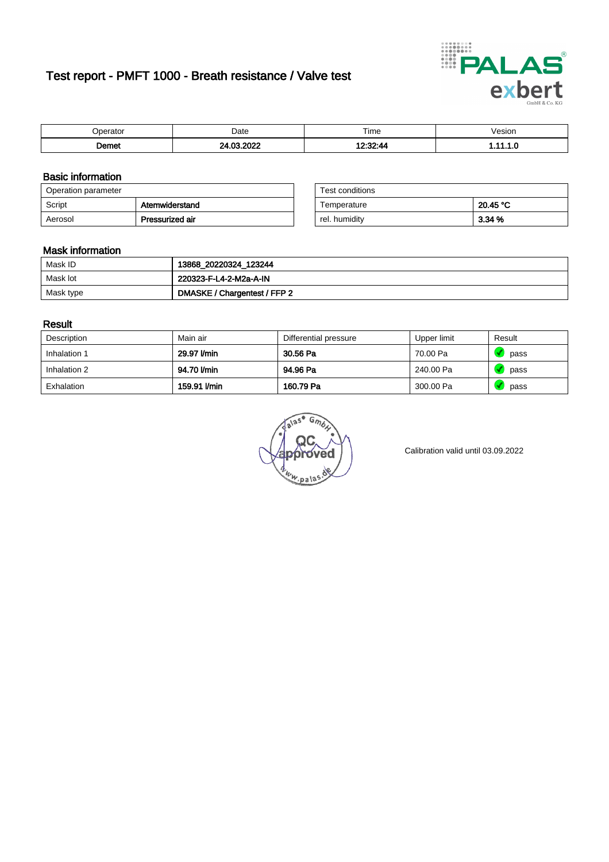# Test report - PMFT 1000 - Breath resistance / Valve test



|                      | Date | $- \cdot$<br>Time | /esion<br>. |
|----------------------|------|-------------------|-------------|
| <b>Domot</b><br>יסוו |      | . ה               | .           |

### Basic information

| Operation parameter |                 | Test conditions |          |
|---------------------|-----------------|-----------------|----------|
| Script              | Atemwiderstand  | Temperature     | 20.45 °C |
| Aerosol             | Pressurized air | rel. humidity   | 3.34 %   |

| Test conditions |          |
|-----------------|----------|
| Temperature     | 20.45 °C |
| rel. humidity   | 3.34%    |

#### Mask information

| Mask ID   | 13868_20220324_123244        |
|-----------|------------------------------|
| Mask lot  | 220323-F-L4-2-M2a-A-IN       |
| Mask type | DMASKE / Chargentest / FFP 2 |

### Result

| Description  | Main air     | Differential pressure | Upper limit | Result |
|--------------|--------------|-----------------------|-------------|--------|
| Inhalation 1 | 29.97 I/min  | 30.56 Pa              | 70.00 Pa    | pass   |
| Inhalation 2 | 94.70 l/min  | 94.96 Pa              | 240.00 Pa   | pass   |
| Exhalation   | 159.91 l/min | 160.79 Pa             | 300.00 Pa   | pass   |

w.pala

Calibration valid until 03.09.2022